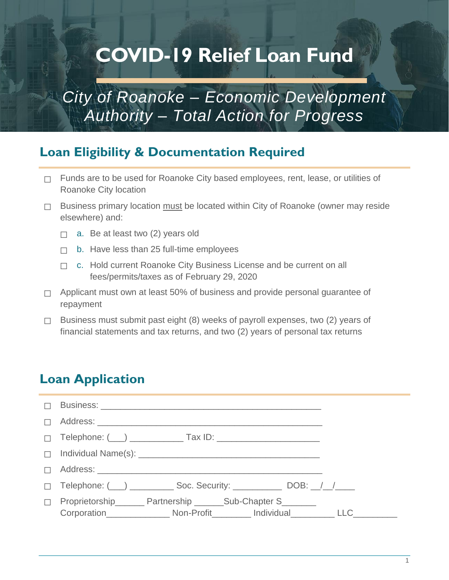# **COVID-19 Relief Loan Fund**

## *City of Roanoke – Economic Development Authority – Total Action for Progress*

## **Loan Eligibility & Documentation Required**

- $\Box$  Funds are to be used for Roanoke City based employees, rent, lease, or utilities of Roanoke City location
- ☐ Business primary location must be located within City of Roanoke (owner may reside elsewhere) and:
	- $\Box$  a. Be at least two (2) years old
	- $\Box$  b. Have less than 25 full-time employees
	- □ c. Hold current Roanoke City Business License and be current on all fees/permits/taxes as of February 29, 2020
- □ Applicant must own at least 50% of business and provide personal guarantee of repayment
- $\Box$  Business must submit past eight (8) weeks of payroll expenses, two (2) years of financial statements and tax returns, and two (2) years of personal tax returns

### **Loan Application**

| $\Box$ |                                                                                                                                 |  |
|--------|---------------------------------------------------------------------------------------------------------------------------------|--|
| $\Box$ |                                                                                                                                 |  |
|        |                                                                                                                                 |  |
|        |                                                                                                                                 |  |
| $\Box$ |                                                                                                                                 |  |
|        | $\Box$ Telephone: $(\underline{\hspace{1cm}})$ $\underline{\hspace{1cm}}$ Soc. Security: $\underline{\hspace{1cm}}$ DOB: $\Box$ |  |
| $\Box$ | Proprietorship_________ Partnership ________ Sub-Chapter S________                                                              |  |